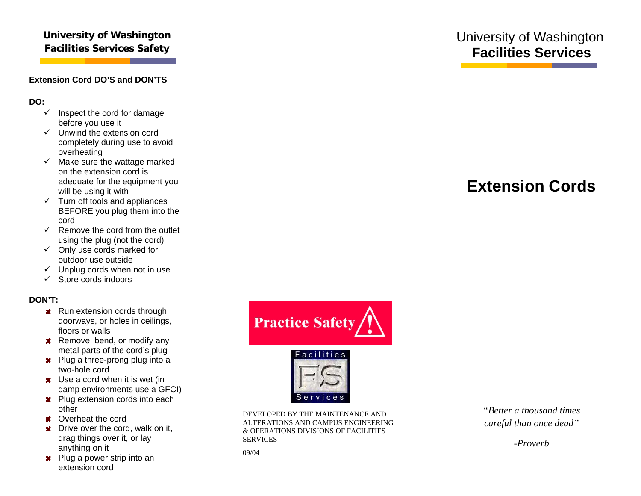### **University of Washington Facilities Services Safety**

#### **Extension Cord DO'S and DON'TS**

**DO:**

- $\checkmark$  Inspect the cord for damage before you use it
- $\checkmark$  Unwind the extension cord completely during use to avoid overheating
- $\checkmark$  Make sure the wattage marked on the extension cord is adequate for the equipment you will be using it with
- $\checkmark$  Turn off tools and appliances BEFORE you plug them into the cord
- $\checkmark$  Remove the cord from the outlet using the plug (not the cord)
- $\checkmark$  Only use cords marked for outdoor use outside
- $\checkmark$  Unplug cords when not in use
- $\checkmark$  Store cords indoors

#### **DON'T:**

- **Run extension cords through** doorways, or holes in ceilings, floors or walls
- **\*** Remove, bend, or modify any metal parts of the cord's plug
- **\*** Plug a three-prong plug into a two-hole cord
- **x** Use a cord when it is wet (in damp environments use a GFCI)
- **R** Plug extension cords into each other
- **x** Overheat the cord
- **\*** Drive over the cord, walk on it, drag things over it, or lay anything on it
- **\*** Plug a power strip into an extension cord





DEVELOPED BY THE MAINTENANCE AND ALTERATIONS AND CAMPUS ENGINEERING & OPERATIONS DIVISIONS OF FACILITIES SERVICES

09/04

## University of Washington **Facilities Services**

# **Extension Cords**



*-Proverb*